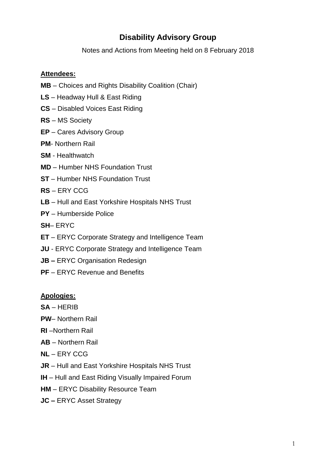# **Disability Advisory Group**

Notes and Actions from Meeting held on 8 February 2018

### **Attendees:**

- **MB** Choices and Rights Disability Coalition (Chair)
- **LS** Headway Hull & East Riding
- **CS** Disabled Voices East Riding
- **RS** MS Society
- **EP** Cares Advisory Group
- **PM** Northern Rail
- **SM** Healthwatch
- **MD**  Humber NHS Foundation Trust
- **ST** Humber NHS Foundation Trust
- **RS** ERY CCG
- **LB** Hull and East Yorkshire Hospitals NHS Trust
- **PY** Humberside Police
- **SH** ERYC
- **ET** ERYC Corporate Strategy and Intelligence Team
- **JU** ERYC Corporate Strategy and Intelligence Team
- **JB –** ERYC Organisation Redesign
- **PF** ERYC Revenue and Benefits

#### **Apologies:**

- **SA** HERIB
- **PW** Northern Rail
- **RI** –Northern Rail
- **AB** Northern Rail
- **NL** ERY CCG
- **JR** Hull and East Yorkshire Hospitals NHS Trust
- **IH** Hull and East Riding Visually Impaired Forum
- **HM** ERYC Disability Resource Team
- **JC –** ERYC Asset Strategy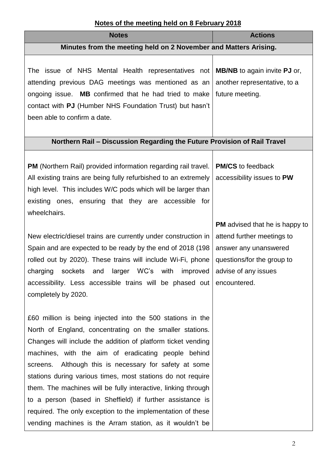## **Notes of the meeting held on 8 February 2018**

| 100 01 1110 1110011119 1101a 011 0 1 0 1 1 au 1 y 20 1 0<br><b>Notes</b>                                                                                                                                                       | <b>Actions</b>                                                                                |
|--------------------------------------------------------------------------------------------------------------------------------------------------------------------------------------------------------------------------------|-----------------------------------------------------------------------------------------------|
| Minutes from the meeting held on 2 November and Matters Arising.                                                                                                                                                               |                                                                                               |
|                                                                                                                                                                                                                                |                                                                                               |
| The issue of NHS Mental Health representatives not<br>attending previous DAG meetings was mentioned as an<br>ongoing issue. MB confirmed that he had tried to make<br>contact with PJ (Humber NHS Foundation Trust) but hasn't | <b>MB/NB</b> to again invite <b>PJ</b> or,<br>another representative, to a<br>future meeting. |
| been able to confirm a date.                                                                                                                                                                                                   |                                                                                               |
| Northern Rail - Discussion Regarding the Future Provision of Rail Travel                                                                                                                                                       |                                                                                               |
|                                                                                                                                                                                                                                |                                                                                               |
| <b>PM</b> (Northern Rail) provided information regarding rail travel.<br>All existing trains are being fully refurbished to an extremely                                                                                       | <b>PM/CS</b> to feedback<br>accessibility issues to PW                                        |
| high level. This includes W/C pods which will be larger than<br>existing ones, ensuring that they are accessible for<br>wheelchairs.                                                                                           |                                                                                               |
|                                                                                                                                                                                                                                | <b>PM</b> advised that he is happy to                                                         |
| New electric/diesel trains are currently under construction in                                                                                                                                                                 | attend further meetings to                                                                    |
| Spain and are expected to be ready by the end of 2018 (198)                                                                                                                                                                    | answer any unanswered                                                                         |
| rolled out by 2020). These trains will include Wi-Fi, phone                                                                                                                                                                    | questions/for the group to                                                                    |
| charging<br>sockets and<br>larger WC's with<br>improved                                                                                                                                                                        | advise of any issues                                                                          |
| accessibility. Less accessible trains will be phased out encountered.<br>completely by 2020.                                                                                                                                   |                                                                                               |
|                                                                                                                                                                                                                                |                                                                                               |
| £60 million is being injected into the 500 stations in the                                                                                                                                                                     |                                                                                               |
| North of England, concentrating on the smaller stations.                                                                                                                                                                       |                                                                                               |
| Changes will include the addition of platform ticket vending                                                                                                                                                                   |                                                                                               |
| machines, with the aim of eradicating people behind                                                                                                                                                                            |                                                                                               |
| screens. Although this is necessary for safety at some                                                                                                                                                                         |                                                                                               |
| stations during various times, most stations do not require                                                                                                                                                                    |                                                                                               |
| them. The machines will be fully interactive, linking through                                                                                                                                                                  |                                                                                               |
| to a person (based in Sheffield) if further assistance is                                                                                                                                                                      |                                                                                               |
| required. The only exception to the implementation of these<br>vending machines is the Arram station, as it wouldn't be                                                                                                        |                                                                                               |
|                                                                                                                                                                                                                                |                                                                                               |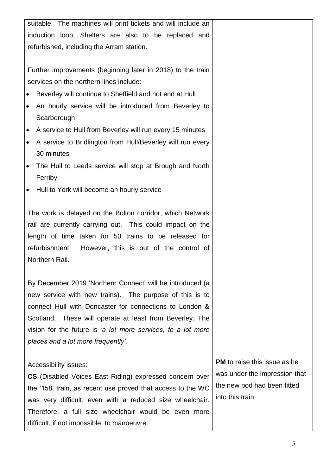suitable. The machines will print tickets and will include an induction loop. Shelters are also to be replaced and refurbished, including the Arram station. Further improvements (beginning later in 2018) to the train services on the northern lines include: Beverley will continue to Sheffield and not end at Hull An hourly service will be introduced from Beverley to **Scarborough**  A service to Hull from Beverley will run every 15 minutes A service to Bridlington from Hull/Beverley will run every 30 minutes • The Hull to Leeds service will stop at Brough and North Ferriby • Hull to York will become an hourly service The work is delayed on the Bolton corridor, which Network rail are currently carrying out. This could impact on the length of time taken for 50 trains to be released for refurbishment. However, this is out of the control of Northern Rail. By December 2019 'Northern Connect' will be introduced (a new service with new trains). The purpose of this is to connect Hull with Doncaster for connections to London & Scotland. These will operate at least from Beverley. The vision for the future is *'a lot more services, to a lot more places and a lot more frequently'.*  Accessibility issues: **CS** (Disabled Voices East Riding) expressed concern over the '158' train, as recent use proved that access to the WC was very difficult, even with a reduced size wheelchair. Therefore, a full size wheelchair would be even more difficult, if not impossible, to manoeuvre.

**PM** to raise this issue as he was under the impression that the new pod had been fitted into this train.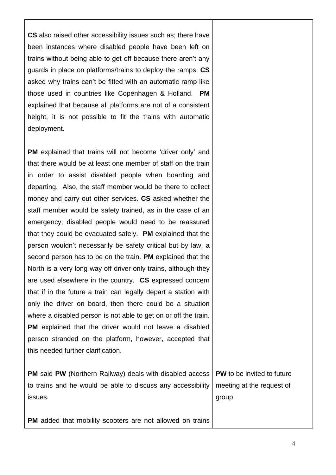**CS** also raised other accessibility issues such as; there have been instances where disabled people have been left on trains without being able to get off because there aren't any guards in place on platforms/trains to deploy the ramps. **CS** asked why trains can't be fitted with an automatic ramp like those used in countries like Copenhagen & Holland. **PM** explained that because all platforms are not of a consistent height, it is not possible to fit the trains with automatic deployment.

**PM** explained that trains will not become 'driver only' and that there would be at least one member of staff on the train in order to assist disabled people when boarding and departing. Also, the staff member would be there to collect money and carry out other services. **CS** asked whether the staff member would be safety trained, as in the case of an emergency, disabled people would need to be reassured that they could be evacuated safely. **PM** explained that the person wouldn't necessarily be safety critical but by law, a second person has to be on the train. **PM** explained that the North is a very long way off driver only trains, although they are used elsewhere in the country. **CS** expressed concern that if in the future a train can legally depart a station with only the driver on board, then there could be a situation where a disabled person is not able to get on or off the train. **PM** explained that the driver would not leave a disabled person stranded on the platform, however, accepted that this needed further clarification.

**PM** said **PW** (Northern Railway) deals with disabled access to trains and he would be able to discuss any accessibility issues.

**PW** to be invited to future meeting at the request of group.

**PM** added that mobility scooters are not allowed on trains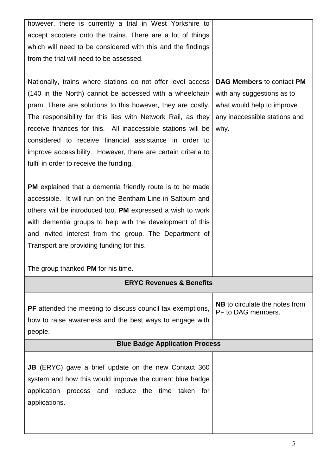| however, there is currently a trial in West Yorkshire to          |                                       |  |
|-------------------------------------------------------------------|---------------------------------------|--|
| accept scooters onto the trains. There are a lot of things        |                                       |  |
| which will need to be considered with this and the findings       |                                       |  |
| from the trial will need to be assessed.                          |                                       |  |
|                                                                   |                                       |  |
| Nationally, trains where stations do not offer level access       | <b>DAG Members to contact PM</b>      |  |
| (140 in the North) cannot be accessed with a wheelchair/          | with any suggestions as to            |  |
| pram. There are solutions to this however, they are costly.       | what would help to improve            |  |
| The responsibility for this lies with Network Rail, as they       | any inaccessible stations and         |  |
| receive finances for this. All inaccessible stations will be      | why.                                  |  |
| considered to receive financial assistance in order to            |                                       |  |
| improve accessibility. However, there are certain criteria to     |                                       |  |
| fulfil in order to receive the funding.                           |                                       |  |
|                                                                   |                                       |  |
| <b>PM</b> explained that a dementia friendly route is to be made  |                                       |  |
| accessible. It will run on the Bentham Line in Saltburn and       |                                       |  |
| others will be introduced too. PM expressed a wish to work        |                                       |  |
| with dementia groups to help with the development of this         |                                       |  |
| and invited interest from the group. The Department of            |                                       |  |
| Transport are providing funding for this.                         |                                       |  |
|                                                                   |                                       |  |
| The group thanked PM for his time.                                |                                       |  |
| <b>ERYC Revenues &amp; Benefits</b>                               |                                       |  |
|                                                                   | <b>NB</b> to circulate the notes from |  |
| <b>PF</b> attended the meeting to discuss council tax exemptions, | PF to DAG members.                    |  |
| how to raise awareness and the best ways to engage with           |                                       |  |
| people.                                                           |                                       |  |
| <b>Blue Badge Application Process</b>                             |                                       |  |
|                                                                   |                                       |  |
| <b>JB</b> (ERYC) gave a brief update on the new Contact 360       |                                       |  |
| system and how this would improve the current blue badge          |                                       |  |
| application process and reduce the time taken for                 |                                       |  |
| applications.                                                     |                                       |  |
|                                                                   |                                       |  |
|                                                                   |                                       |  |